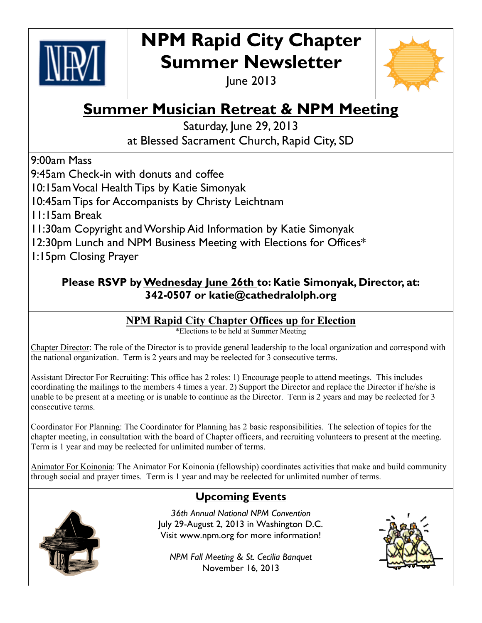

# **NPM Rapid City Chapter Summer Newsletter**

June 2013



## **Summer Musician Retreat & NPM Meeting**

Saturday, June 29, 2013 at Blessed Sacrament Church, Rapid City, SD

9:00am Mass

9:45am Check-in with donuts and coffee

10:15am Vocal Health Tips by Katie Simonyak

10:45am Tips for Accompanists by Christy Leichtnam

11:15am Break

11:30am Copyright and Worship Aid Information by Katie Simonyak

12:30pm Lunch and NPM Business Meeting with Elections for Offices\*

1:15pm Closing Prayer

#### **Please RSVP by Wednesday June 26th to: Katie Simonyak, Director, at: 342-0507 or katie@cathedralolph.org**

#### **NPM Rapid City Chapter Offices up for Election**

\*Elections to be held at Summer Meeting

Chapter Director: The role of the Director is to provide general leadership to the local organization and correspond with the national organization. Term is 2 years and may be reelected for 3 consecutive terms.

Assistant Director For Recruiting: This office has 2 roles: 1) Encourage people to attend meetings. This includes coordinating the mailings to the members 4 times a year. 2) Support the Director and replace the Director if he/she is unable to be present at a meeting or is unable to continue as the Director. Term is 2 years and may be reelected for 3 consecutive terms.

Coordinator For Planning: The Coordinator for Planning has 2 basic responsibilities. The selection of topics for the chapter meeting, in consultation with the board of Chapter officers, and recruiting volunteers to present at the meeting. Term is 1 year and may be reelected for unlimited number of terms.

Animator For Koinonia: The Animator For Koinonia (fellowship) coordinates activities that make and build community through social and prayer times. Term is 1 year and may be reelected for unlimited number of terms.

### **Upcoming Events**



*36th Annual National NPM Convention* July 29-August 2, 2013 in Washington D.C. Visit www.npm.org for more information!

*NPM Fall Meeting & St. Cecilia Banquet* November 16, 2013